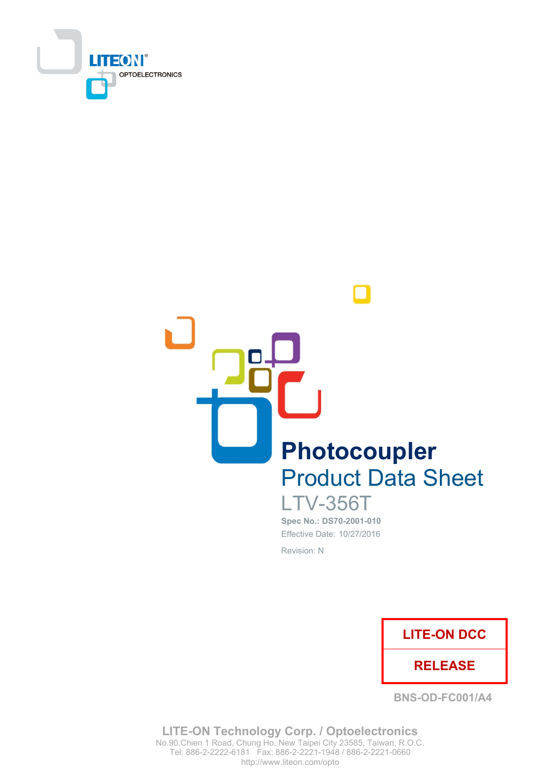



**LTV-356T** Spec No.: DS70-2001-010 Effective Date: 10/27/2016 Revision: N



**BNS-OD-FC001/A4** 

**LITE-ON Technology Corp. / Optoelectronics** No.90, Chien 1 Road, Chung Ho, New Taipei City 23585, Taiwan, R.O.C. Tel: 886-2-2222-6181 Fax: 886-2-2221-1948 / 886-2-2221-0660 http://www.liteon.com/opto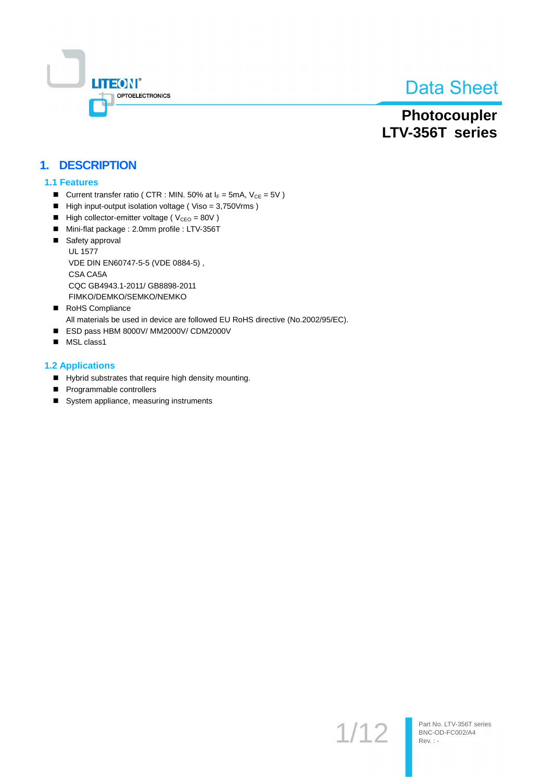

# Photocoupler LTV-356T series

## 1. DESCRIPTION

#### **1.1 Features**

- Current transfer ratio ( CTR : MIN. 50% at  $I_F$  = 5mA,  $V_{CE}$  = 5V )
- High input-output isolation voltage (Viso = 3,750Vrms)
- High collector-emitter voltage ( $V_{\text{CEO}} = 80V$ )
- Mini-flat package : 2.0mm profile : LTV-356T
- Safety approval **UL 1577** VDE DIN EN60747-5-5 (VDE 0884-5), CSA CA5A CQC GB4943.1-2011/ GB8898-2011 FIMKO/DEMKO/SEMKO/NEMKO
- RoHS Compliance All materials be used in device are followed EU RoHS directive (No.2002/95/EC).
- ESD pass HBM 8000V/ MM2000V/ CDM2000V
- MSL class1

#### **1.2 Applications**

- Hybrid substrates that require high density mounting.
- Programmable controllers
- System appliance, measuring instruments

 $1/12$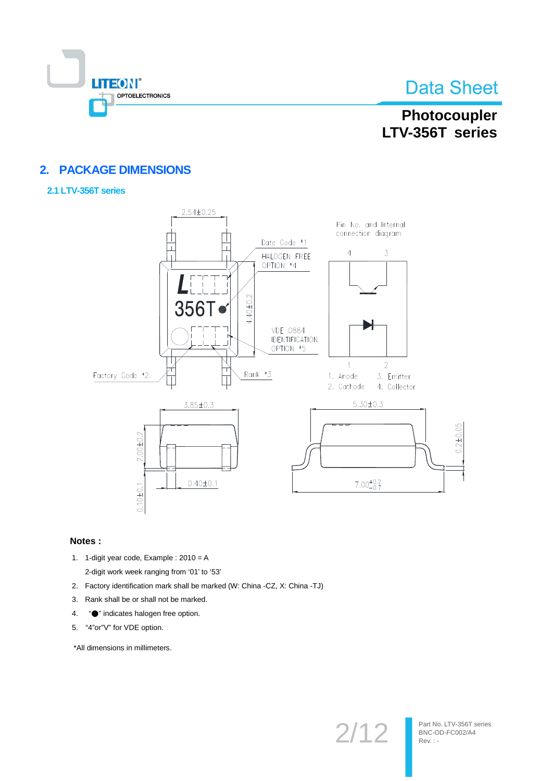

# Photocoupler LTV-356T series

## 2. PACKAGE DIMENSIONS

#### 2.1 LTV-356T series



#### Notes:

- 1. 1-digit year code, Example : 2010 = A 2-digit work week ranging from '01' to '53'
- 2. Factory identification mark shall be marked (W: China -CZ, X: China -TJ)
- 3. Rank shall be or shall not be marked.
- "<sup>o</sup>" indicates halogen free option. 4.
- 5. "4"or"V" for VDE option.

\*All dimensions in millimeters.

 $2/12$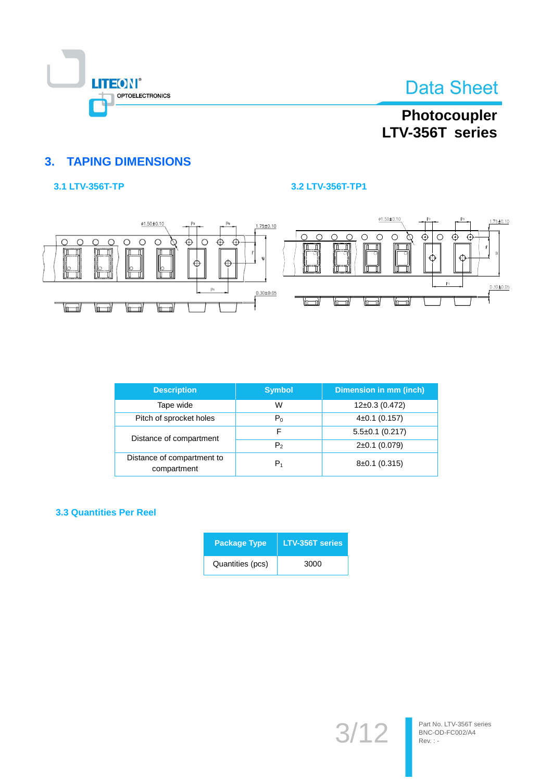

# Photocoupler LTV-356T series

## **3. TAPING DIMENSIONS**

## 3.1 LTV-356T-TP

### 3.2 LTV-356T-TP1



| <b>Description</b>                        | <b>Symbol</b>  | Dimension in mm (inch) |
|-------------------------------------------|----------------|------------------------|
| Tape wide                                 | W              | $12\pm0.3$ (0.472)     |
| Pitch of sprocket holes                   | $P_0$          | $4\pm0.1$ (0.157)      |
| Distance of compartment                   | F              | $5.5\pm0.1$ (0.217)    |
|                                           | P <sub>2</sub> | $2\pm0.1$ (0.079)      |
| Distance of compartment to<br>compartment | $P_1$          | $8\pm0.1$ (0.315)      |

#### **3.3 Quantities Per Reel**

| <b>Package Type</b> | <b>LTV-356T series</b> |
|---------------------|------------------------|
| Quantities (pcs)    | 3000                   |

 $3/$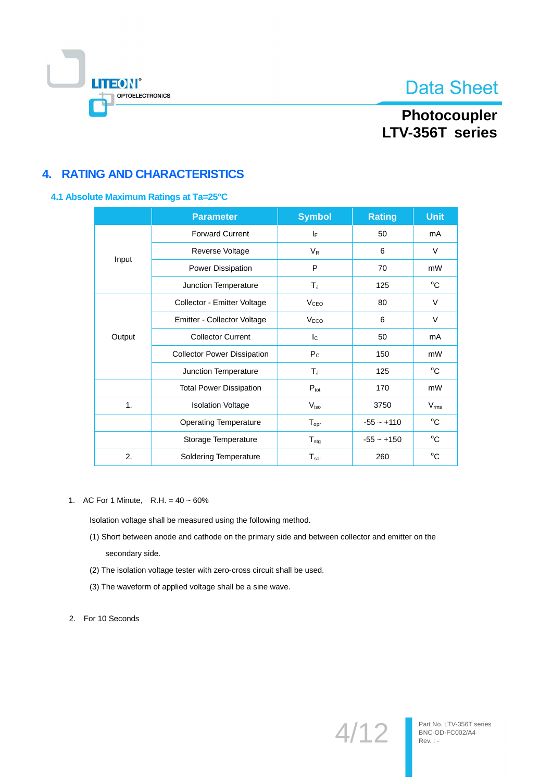

# Photocoupler LTV-356T series

## **4. RATING AND CHARACTERISTICS**

#### 4.1 Absolute Maximum Ratings at Ta=25°C

|        | <b>Parameter</b>                   | <b>Symbol</b>           | <b>Rating</b> | <b>Unit</b>   |
|--------|------------------------------------|-------------------------|---------------|---------------|
|        | <b>Forward Current</b>             | IF.                     | 50            | mA            |
|        | Reverse Voltage                    | $V_{R}$                 | 6             | $\vee$        |
| Input  | Power Dissipation                  | P                       | 70            | mW            |
|        | Junction Temperature               | $T_{J}$                 | 125           | °C            |
|        | Collector - Emitter Voltage        | <b>V<sub>CEO</sub></b>  | 80            | V             |
|        | Emitter - Collector Voltage        | V <sub>ECO</sub>        | 6             | $\vee$        |
| Output | <b>Collector Current</b>           | $\mathsf{I}_\mathsf{C}$ | 50            | mA            |
|        | <b>Collector Power Dissipation</b> | $P_{C}$                 | 150           | mW            |
|        | Junction Temperature               | $T_{J}$                 | 125           | $^{\circ}$ C  |
|        | <b>Total Power Dissipation</b>     | $P_{\text{tot}}$        | 170           | mW            |
| 1.     | <b>Isolation Voltage</b>           | $V_{\rm iso}$           | 3750          | $V_{\rm rms}$ |
|        | <b>Operating Temperature</b>       | $T_{\text{opr}}$        | $-55 - +110$  | °C            |
|        | Storage Temperature                | $T_{\text{stg}}$        | $-55 - +150$  | °C            |
| 2.     | <b>Soldering Temperature</b>       | $T_{sol}$               | 260           | $^{\circ}C$   |

1. AC For 1 Minute, R.H. =  $40 \sim 60\%$ 

Isolation voltage shall be measured using the following method.

- (1) Short between anode and cathode on the primary side and between collector and emitter on the secondary side.
- (2) The isolation voltage tester with zero-cross circuit shall be used.
- (3) The waveform of applied voltage shall be a sine wave.
- 2. For 10 Seconds

 $4/12$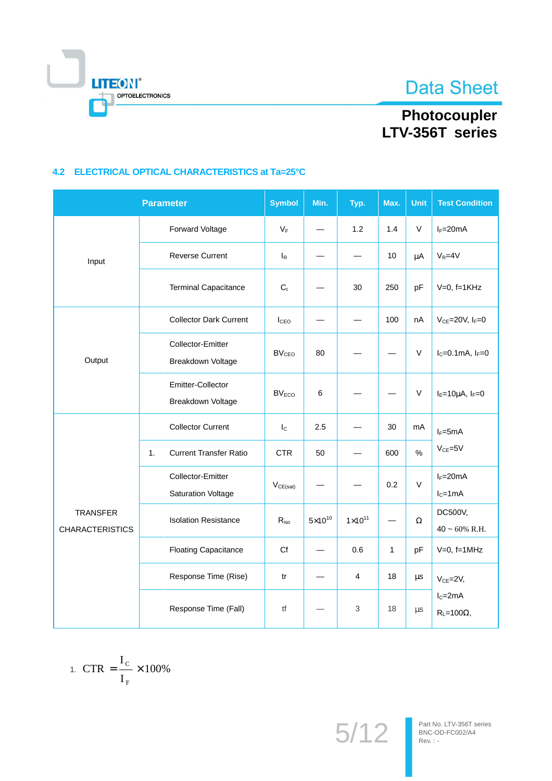

# Photocoupler<br>LTV-356T series

## 4.2 ELECTRICAL OPTICAL CHARACTERISTICS at Ta=25°C

|                                           | <b>Parameter</b> |                                                | <b>Symbol</b>           | Min.             | Typ.                    | Max.         | <b>Unit</b> | <b>Test Condition</b>             |
|-------------------------------------------|------------------|------------------------------------------------|-------------------------|------------------|-------------------------|--------------|-------------|-----------------------------------|
|                                           |                  | Forward Voltage                                | $V_F$                   |                  | 1.2                     | 1.4          | V           | $I_F = 20mA$                      |
| Input                                     |                  | <b>Reverse Current</b>                         | $I_R$                   |                  |                         | 10           | μA          | $V_R = 4V$                        |
|                                           |                  | <b>Terminal Capacitance</b>                    | C <sub>t</sub>          |                  | 30                      | 250          | pF          | $V=0$ , $f=1KHz$                  |
| Output                                    |                  | <b>Collector Dark Current</b>                  | I <sub>CEO</sub>        |                  |                         | 100          | nA          | $V_{CE}$ =20V, $I_F$ =0           |
|                                           |                  | <b>Collector-Emitter</b><br>Breakdown Voltage  | <b>BV<sub>CEO</sub></b> | 80               |                         |              | V           | $I_C = 0.1mA, I_F = 0$            |
|                                           |                  | Emitter-Collector<br>Breakdown Voltage         | <b>BV<sub>ECO</sub></b> | 6                |                         |              | V           | $I_E=10\mu A$ , $I_F=0$           |
| <b>TRANSFER</b><br><b>CHARACTERISTICS</b> |                  | <b>Collector Current</b>                       | $I_{\rm C}$             | 2.5              |                         | 30           | mA          | $I_F = 5mA$                       |
|                                           | 1.               | <b>Current Transfer Ratio</b>                  | <b>CTR</b>              | 50               |                         | 600          | $\%$        | $V_{CE} = 5V$                     |
|                                           |                  | Collector-Emitter<br><b>Saturation Voltage</b> | $V_{CE(sat)}$           |                  |                         | 0.2          | V           | $I_F = 20mA$<br>$IC=1mA$          |
|                                           |                  | <b>Isolation Resistance</b>                    | $R_{iso}$               | $5\times10^{10}$ | $1 \times 10^{11}$      |              | Ω           | DC500V,<br>$40 \sim 60\%$ R.H.    |
|                                           |                  | <b>Floating Capacitance</b>                    | Cf                      |                  | 0.6                     | $\mathbf{1}$ | pF          | $V=0$ , f=1MHz                    |
|                                           |                  | Response Time (Rise)                           | tr                      |                  | $\overline{\mathbf{4}}$ | 18           | μs          | $V_{CE} = 2V$ ,                   |
|                                           |                  | Response Time (Fall)                           | tf                      |                  | $\mathfrak{S}$          | 18           | $\mu s$     | $I_C = 2mA$<br>$R_L = 100\Omega,$ |

$$
1. \ \mathrm{CTR} = \frac{I_{\mathrm{C}}}{I_{\mathrm{F}}} \times 100\%
$$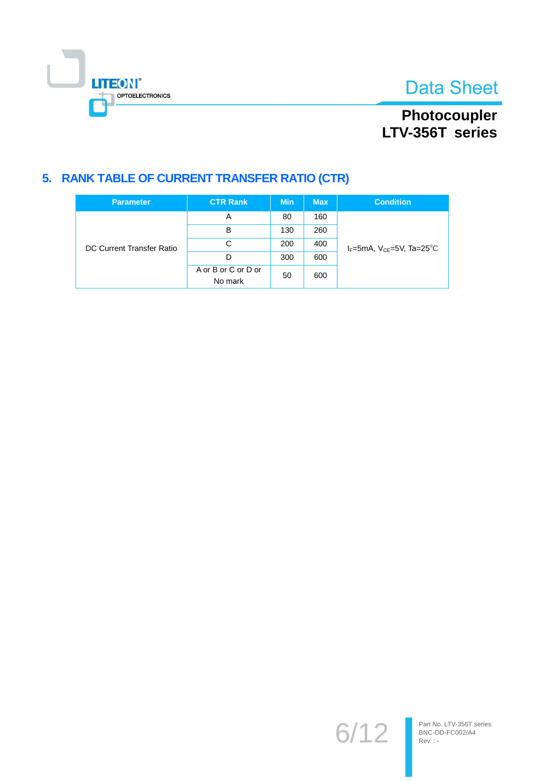

# Photocoupler<br>LTV-356T series

## 5. RANK TABLE OF CURRENT TRANSFER RATIO (CTR)

| <b>Parameter</b>          | <b>CTR Rank</b>                | <b>Min</b> | <b>Max</b> | <b>Condition</b>                               |  |  |
|---------------------------|--------------------------------|------------|------------|------------------------------------------------|--|--|
| DC Current Transfer Ratio | A                              | 80         | 160        |                                                |  |  |
|                           | B                              | 130        | 260        |                                                |  |  |
|                           | С                              | 200        | 400        | $I_F$ =5mA, $V_{CF}$ =5V, Ta=25 <sup>o</sup> C |  |  |
|                           | D                              | 300        | 600        |                                                |  |  |
|                           | A or B or C or D or<br>No mark | 50         | 600        |                                                |  |  |

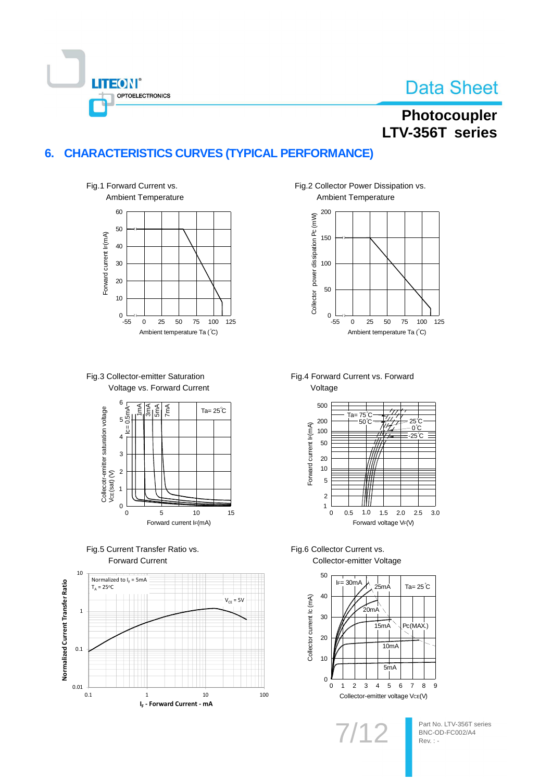

# Photocoupler LTV-356T series

## 6. CHARACTERISTICS CURVES (TYPICAL PERFORMANCE)











Fig.2 Collector Power Dissipation vs. Ambient Temperature



Fig.4 Forward Current vs. Forward



## Fig.6 Collector Current vs.

Collector-emitter Voltage



7/1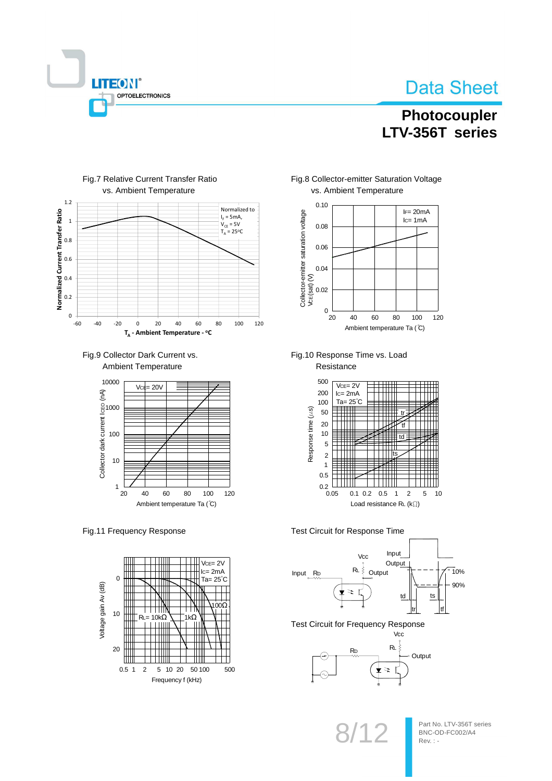

## Photocoupler LTV-356T series



#### Fig.7 Relative Current Transfer Ratio vs. Ambient Temperature





#### Fig.11 Frequency Response







Fig.10 Response Time vs. Load Resistance



#### Test Circuit for Response Time



**Test Circuit for Frequency Response** Vcc

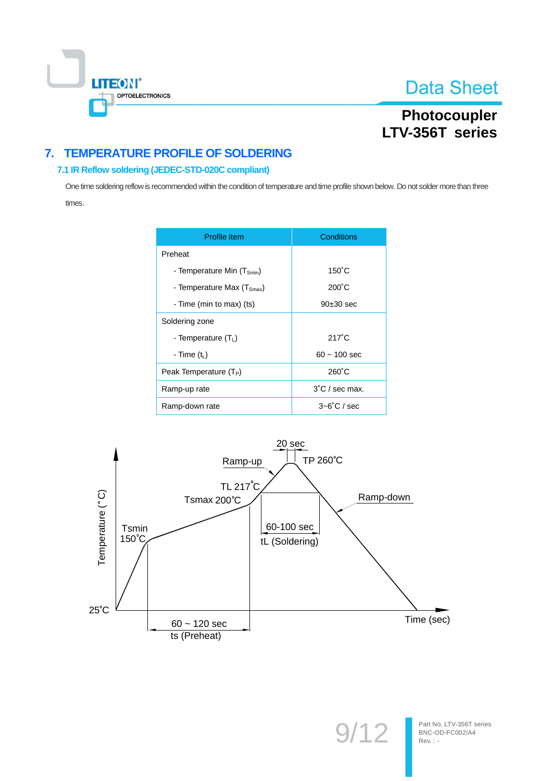

# Photocoupler LTV-356T series

## 7. TEMPERATURE PROFILE OF SOLDERING

### 7.1 IR Reflow soldering (JEDEC-STD-020C compliant)

One time soldering reflow is recommended within the condition of temperature and time profile shown below. Do not solder more than three times.

| Profile item                           | Conditions               |
|----------------------------------------|--------------------------|
| Preheat                                |                          |
| - Temperature Min (T <sub>Smin</sub> ) | $150^{\circ}$ C          |
| - Temperature Max $(T_{Smax})$         | $200^{\circ}$ C          |
| - Time (min to max) (ts)               | $90±30$ sec              |
| Soldering zone                         |                          |
| - Temperature (T <sub>1</sub> )        | $217^\circ C$            |
| - Time $(tL)$                          | $60 - 100$ sec           |
| Peak Temperature $(T_P)$               | $260^{\circ}$ C          |
| Ramp-up rate                           | $3^{\circ}$ C / sec max. |
| Ramp-down rate                         | $3 - 6^\circ$ C / sec    |



Part No. LTV-356T series BNC-OD-FC002/A4 Rev. : -

 $9'$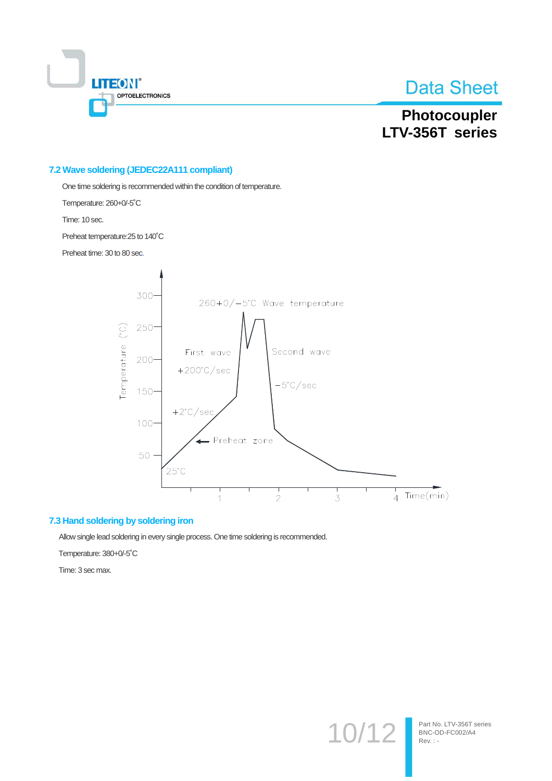

# Photocoupler LTV-356T series

#### 7.2 Wave soldering (JEDEC22A111 compliant)

One time soldering is recommended within the condition of temperature.

Temperature: 260+0/-5°C

Time: 10 sec.

Preheat temperature: 25 to 140°C

Preheat time: 30 to 80 sec.



#### 7.3 Hand soldering by soldering iron

Allow single lead soldering in every single process. One time soldering is recommended.

Temperature: 380+0/-5°C

Time: 3 sec max.

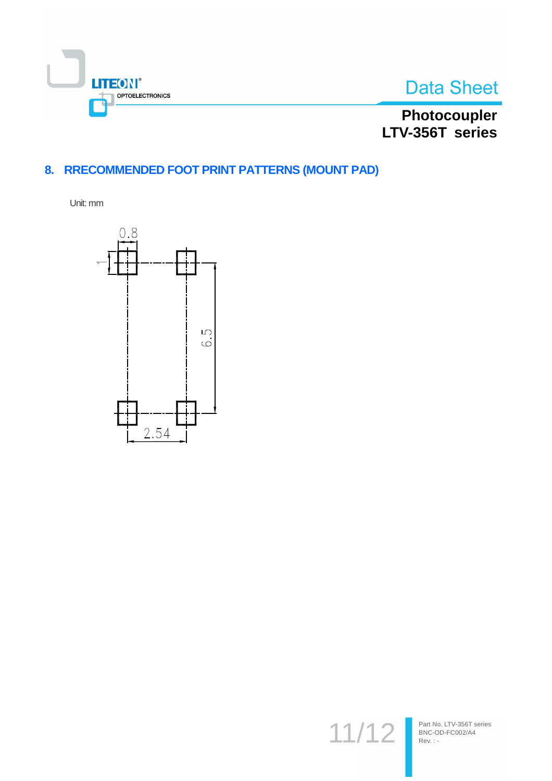



Photocoupler<br>LTV-356T series

## 8. RRECOMMENDED FOOT PRINT PATTERNS (MOUNT PAD)

Unit: mm



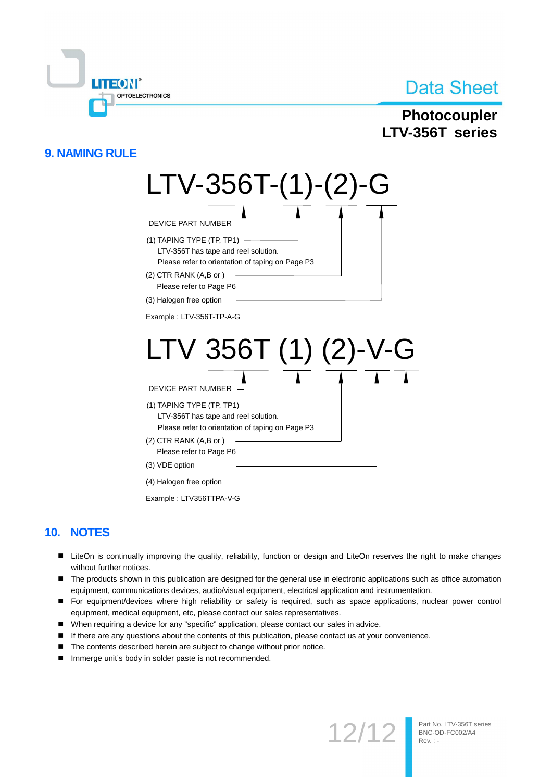

## Photocoupler LTV-356T series

## **9. NAMING RULE**



## 10. NOTES

- LiteOn is continually improving the quality, reliability, function or design and LiteOn reserves the right to make changes without further notices.
- The products shown in this publication are designed for the general use in electronic applications such as office automation equipment, communications devices, audio/visual equipment, electrical application and instrumentation.
- For equipment/devices where high reliability or safety is required, such as space applications, nuclear power control equipment, medical equipment, etc, please contact our sales representatives.
- When requiring a device for any "specific" application, please contact our sales in advice.
- $\blacksquare$ If there are any questions about the contents of this publication, please contact us at your convenience.
- The contents described herein are subject to change without prior notice.
- Immerge unit's body in solder paste is not recommended.